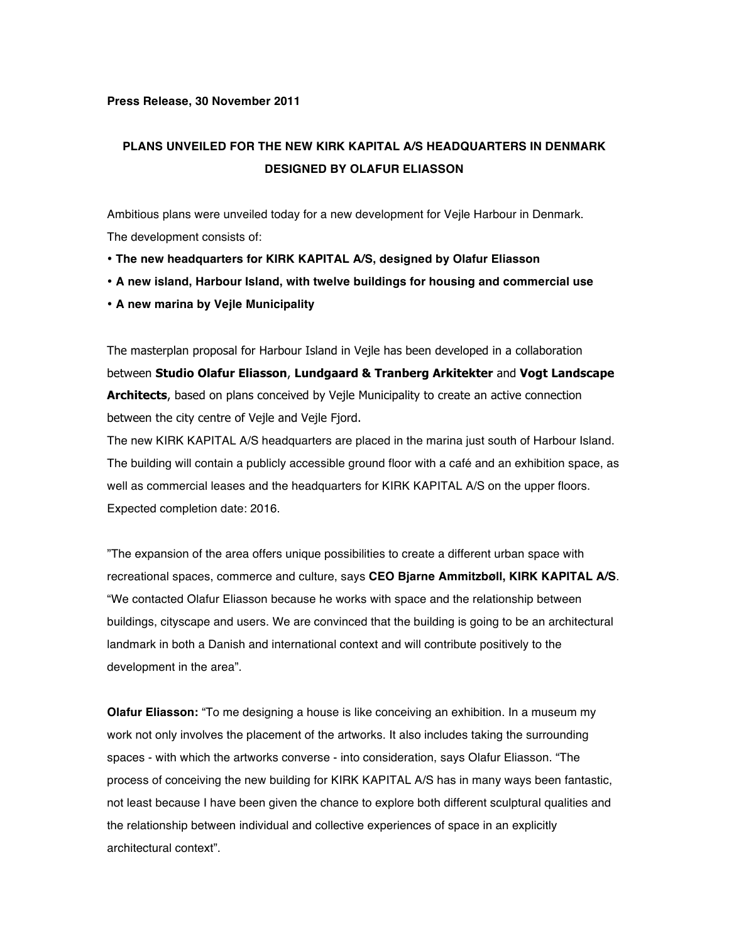## **Press Release, 30 November 2011**

## **PLANS UNVEILED FOR THE NEW KIRK KAPITAL A/S HEADQUARTERS IN DENMARK DESIGNED BY OLAFUR ELIASSON**

Ambitious plans were unveiled today for a new development for Vejle Harbour in Denmark. The development consists of:

- • **The new headquarters for KIRK KAPITAL A/S, designed by Olafur Eliasson**
- **A new island, Harbour Island, with twelve buildings for housing and commercial use**
- • **A new marina by Vejle Municipality**

The masterplan proposal for Harbour Island in Vejle has been developed in a collaboration between **Studio Olafur Eliasson**, **Lundgaard & Tranberg Arkitekter** and **Vogt Landscape Architects**, based on plans conceived by Vejle Municipality to create an active connection between the city centre of Vejle and Vejle Fjord.

The new KIRK KAPITAL A/S headquarters are placed in the marina just south of Harbour Island. The building will contain a publicly accessible ground floor with a café and an exhibition space, as well as commercial leases and the headquarters for KIRK KAPITAL A/S on the upper floors. Expected completion date: 2016.

"The expansion of the area offers unique possibilities to create a different urban space with recreational spaces, commerce and culture, says **CEO Bjarne Ammitzbøll, KIRK KAPITAL A/S**. "We contacted Olafur Eliasson because he works with space and the relationship between buildings, cityscape and users. We are convinced that the building is going to be an architectural landmark in both a Danish and international context and will contribute positively to the development in the area".

**Olafur Eliasson:** "To me designing a house is like conceiving an exhibition. In a museum my work not only involves the placement of the artworks. It also includes taking the surrounding spaces - with which the artworks converse - into consideration, says Olafur Eliasson. "The process of conceiving the new building for KIRK KAPITAL A/S has in many ways been fantastic, not least because I have been given the chance to explore both different sculptural qualities and the relationship between individual and collective experiences of space in an explicitly architectural context".